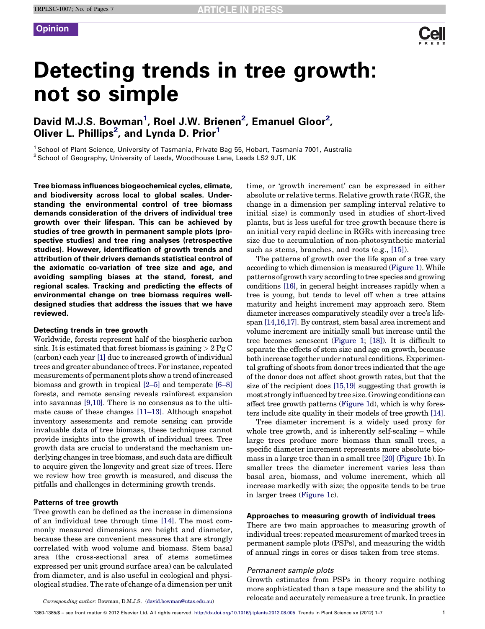

# Detecting trends in tree growth: not so simple

David M.J.S. Bowman<sup>1</sup>, Roel J.W. Brienen<sup>2</sup>, Emanuel Gloor<sup>2</sup>, Oliver L. Phillips<sup>2</sup>, and Lynda D. Prior<sup>1</sup>

<sup>1</sup> School of Plant Science, University of Tasmania, Private Bag 55, Hobart, Tasmania 7001, Australia <sup>2</sup> School of Geography, University of Leeds, Woodhouse Lane, Leeds LS2 9JT, UK

Tree biomass influences biogeochemical cycles, climate, and biodiversity across local to global scales. Understanding the environmental control of tree biomass demands consideration of the drivers of individual tree growth over their lifespan. This can be achieved by studies of tree growth in permanent sample plots (prospective studies) and tree ring analyses (retrospective studies). However, identification of growth trends and attribution of their drivers demands statistical control of the axiomatic co-variation of tree size and age, and avoiding sampling biases at the stand, forest, and regional scales. Tracking and predicting the effects of environmental change on tree biomass requires welldesigned studies that address the issues that we have reviewed.

### Detecting trends in tree growth

Worldwide, forests represent half of the biospheric carbon sink. It is estimated that forest biomass is gaining  $> 2 \text{ Pg C}$ (carbon) each year [\[1\]](#page-5-0) due to increased growth of individual trees and greater abundance oftrees. For instance, repeated measurements of permanent plots show a trend ofincreased biomass and growth in tropical [\[2–5\]](#page-5-0) and temperate [\[6–8\]](#page-5-0) forests, and remote sensing reveals rainforest expansion into savannas [\[9,10\].](#page-5-0) There is no consensus as to the ultimate cause of these changes [\[11–13\].](#page-5-0) Although snapshot inventory assessments and remote sensing can provide invaluable data of tree biomass, these techniques cannot provide insights into the growth of individual trees. Tree growth data are crucial to understand the mechanism underlying changes in tree biomass, and such data are difficult to acquire given the longevity and great size of trees. Here we review how tree growth is measured, and discuss the pitfalls and challenges in determining growth trends.

### Patterns of tree growth

Tree growth can be defined as the increase in dimensions of an individual tree through time [\[14\]](#page-5-0). The most commonly measured dimensions are height and diameter, because these are convenient measures that are strongly correlated with wood volume and biomass. Stem basal area (the cross-sectional area of stems sometimes expressed per unit ground surface area) can be calculated from diameter, and is also useful in ecological and physiological studies. The rate of change of a dimension per unit time, or 'growth increment' can be expressed in either absolute or relative terms. Relative growth rate (RGR, the change in a dimension per sampling interval relative to initial size) is commonly used in studies of short-lived plants, but is less useful for tree growth because there is an initial very rapid decline in RGRs with increasing tree size due to accumulation of non-photosynthetic material such as stems, branches, and roots (e.g., [\[15\]\)](#page-5-0).

The patterns of growth over the life span of a tree vary according to which dimension is measured [\(Figure](#page-1-0) 1). While patterns of growth vary according to tree species and growing conditions [\[16\],](#page-5-0) in general height increases rapidly when a tree is young, but tends to level off when a tree attains maturity and height increment may approach zero. Stem diameter increases comparatively steadily over a tree's lifespan [\[14,16,17\]](#page-5-0). By contrast, stem basal area increment and volume increment are initially small but increase until the tree becomes senescent ([Figure](#page-1-0) 1; [\[18\]](#page-5-0)). It is difficult to separate the effects of stem size and age on growth, because both increase together under natural conditions. Experimental grafting of shoots from donor trees indicated that the age of the donor does not affect shoot growth rates, but that the size of the recipient does [\[15,19\]](#page-5-0) suggesting that growth is most strongly influenced by tree size. Growing conditions can affect tree growth patterns [\(Figure](#page-1-0) 1d), which is why foresters include site quality in their models of tree growth [\[14\]](#page-5-0).

Tree diameter increment is a widely used proxy for whole tree growth, and is inherently self-scaling – while large trees produce more biomass than small trees, a specific diameter increment represents more absolute biomass in a large tree than in a small tree [\[20\]](#page-5-0) [\(Figure](#page-1-0) 1b). In smaller trees the diameter increment varies less than basal area, biomass, and volume increment, which all increase markedly with size; the opposite tends to be true in larger trees [\(Figure](#page-1-0) 1c).

## Approaches to measuring growth of individual trees

There are two main approaches to measuring growth of individual trees: repeated measurement of marked trees in permanent sample plots (PSPs), and measuring the width of annual rings in cores or discs taken from tree stems.

### Permanent sample plots

Growth estimates from PSPs in theory require nothing more sophisticated than a tape measure and the ability to relocate and accurately remeasure a tree trunk. In practice

Corresponding author: Bowman, D.M.J.S. ([david.bowman@utas.edu.au](mailto:david.bowman@utas.edu.au))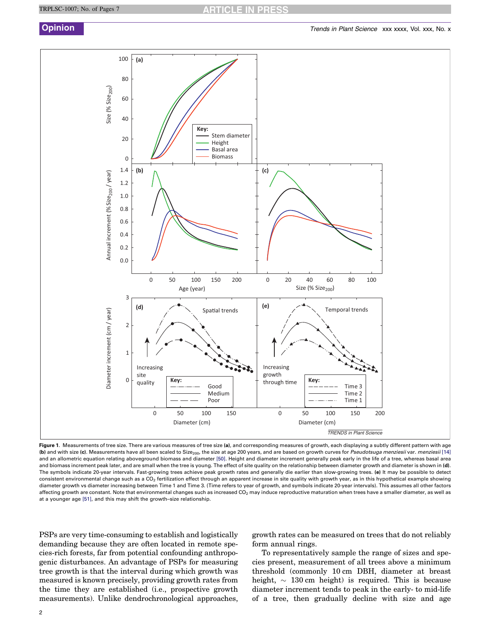<span id="page-1-0"></span>

Figure 1. Measurements of tree size. There are various measures of tree size (a), and corresponding measures of growth, each displaying a subtly different pattern with age (b) and with size (c). Measurements have all been scaled to Size<sub>200</sub>, the size at age 200 years, and are based on growth curves for Pseudotsuga menziesii var. menziesii [\[14\]](#page-5-0) and an allometric equation relating aboveground biomass and diameter [\[50\].](#page-6-0) Height and diameter increment generally peak early in the life of a tree, whereas basal area and biomass increment peak later, and are small when the tree is young. The effect of site quality on the relationship between diameter growth and diameter is shown in (d). The symbols indicate 20-year intervals. Fast-growing trees achieve peak growth rates and generally die earlier than slow-growing trees. (e) It may be possible to detect consistent environmental change such as a CO<sub>2</sub> fertilization effect through an apparent increase in site quality with growth year, as in this hypothetical example showing diameter growth vs diameter increasing between Time 1 and Time 3. (Time refers to year of growth, and symbols indicate 20-year intervals). This assumes all other factors affecting growth are constant. Note that environmental changes such as increased  $CO<sub>2</sub>$  may induce reproductive maturation when trees have a smaller diameter, as well as at a younger age [\[51\],](#page-6-0) and this may shift the growth–size relationship.

PSPs are very time-consuming to establish and logistically demanding because they are often located in remote species-rich forests, far from potential confounding anthropogenic disturbances. An advantage of PSPs for measuring tree growth is that the interval during which growth was measured is known precisely, providing growth rates from the time they are established (i.e., prospective growth measurements). Unlike dendrochronological approaches, growth rates can be measured on trees that do not reliably form annual rings.

To representatively sample the range of sizes and species present, measurement of all trees above a minimum threshold (commonly 10 cm DBH, diameter at breast height,  $\sim$  130 cm height) is required. This is because diameter increment tends to peak in the early- to mid-life of a tree, then gradually decline with size and age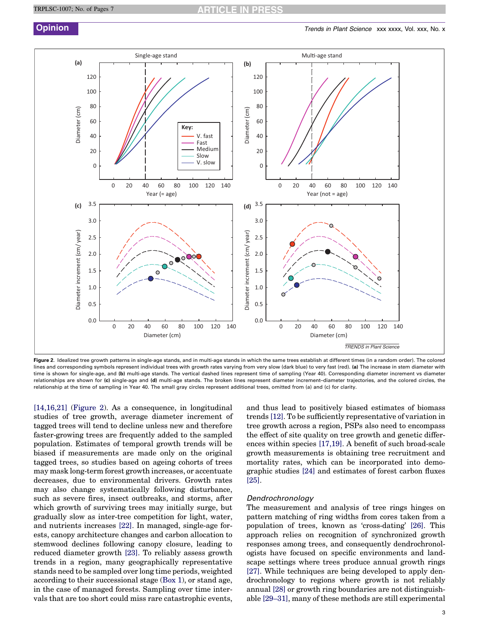<span id="page-2-0"></span>

Figure 2. Idealized tree growth patterns in single-age stands, and in multi-age stands in which the same trees establish at different times (in a random order). The colored lines and corresponding symbols represent individual trees with growth rates varying from very slow (dark blue) to very fast (red). (a) The increase in stem diameter with time is shown for single-age, and (b) multi-age stands. The vertical dashed lines represent time of sampling (Year 40). Corresponding diameter increment vs diameter relationships are shown for (c) single-age and (d) multi-age stands. The broken lines represent diameter increment-diameter trajectories, and the colored circles, the relationship at the time of sampling in Year 40. The small gray circles represent additional trees, omitted from (a) and (c) for clarity.

[\[14,16,21\]](#page-5-0) (Figure 2). As a consequence, in longitudinal studies of tree growth, average diameter increment of tagged trees will tend to decline unless new and therefore faster-growing trees are frequently added to the sampled population. Estimates of temporal growth trends will be biased if measurements are made only on the original tagged trees, so studies based on ageing cohorts of trees may mask long-term forest growth increases, or accentuate decreases, due to environmental drivers. Growth rates may also change systematically following disturbance, such as severe fires, insect outbreaks, and storms, after which growth of surviving trees may initially surge, but gradually slow as inter-tree competition for light, water, and nutrients increases [\[22\].](#page-5-0) In managed, single-age forests, canopy architecture changes and carbon allocation to stemwood declines following canopy closure, leading to reduced diameter growth [\[23\]](#page-5-0). To reliably assess growth trends in a region, many geographically representative stands need to be sampled over long time periods, weighted according to their successional stage [\(Box](#page-4-0) 1), or stand age, in the case of managed forests. Sampling over time intervals that are too short could miss rare catastrophic events,

and thus lead to positively biased estimates of biomass trends [\[12\]](#page-5-0). To be sufficiently representative of variation in tree growth across a region, PSPs also need to encompass the effect of site quality on tree growth and genetic differences within species [\[17,19\]](#page-5-0). A benefit of such broad-scale growth measurements is obtaining tree recruitment and mortality rates, which can be incorporated into demographic studies [\[24\]](#page-5-0) and estimates of forest carbon fluxes [\[25\]](#page-5-0).

### Dendrochronology

The measurement and analysis of tree rings hinges on pattern matching of ring widths from cores taken from a population of trees, known as 'cross-dating' [\[26\]](#page-5-0). This approach relies on recognition of synchronized growth responses among trees, and consequently dendrochronologists have focused on specific environments and landscape settings where trees produce annual growth rings [\[27\]](#page-5-0). While techniques are being developed to apply dendrochronology to regions where growth is not reliably annual [\[28\]](#page-5-0) or growth ring boundaries are not distinguishable [\[29–31\]](#page-5-0), many of these methods are still experimental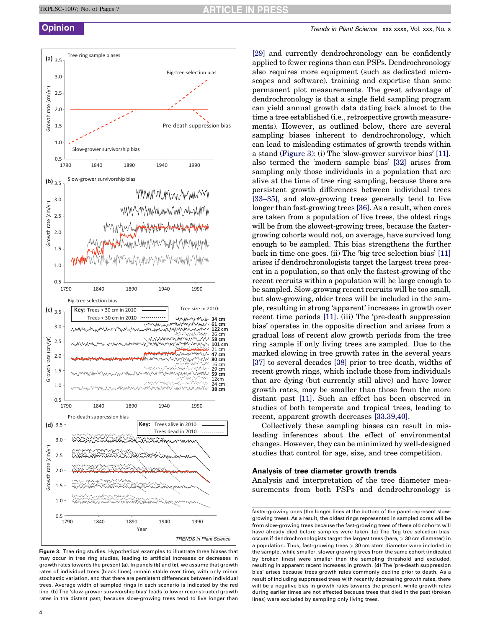

Figure 3. Tree ring studies. Hypothetical examples to illustrate three biases that may occur in tree ring studies, leading to artificial increases or decreases in growth rates towards the present (a). In panels (b) and (c), we assume that growth rates of individual trees (black lines) remain stable over time, with only minor stochastic variation, and that there are persistent differences between individual trees. Average width of sampled rings in each scenario is indicated by the red line. (b) The 'slow-grower survivorship bias' leads to lower reconstructed growth rates in the distant past, because slow-growing trees tend to live longer than

4

**Opinion** Trends in Plant Science xxx xxxx, Vol. xxx, No. x

[\[29\]](#page-5-0) and currently dendrochronology can be confidently applied to fewer regions than can PSPs. Dendrochronology also requires more equipment (such as dedicated microscopes and software), training and expertise than some permanent plot measurements. The great advantage of dendrochronology is that a single field sampling program can yield annual growth data dating back almost to the time a tree established (i.e., retrospective growth measurements). However, as outlined below, there are several sampling biases inherent to dendrochronology, which can lead to misleading estimates of growth trends within a stand (Figure 3): (i) The 'slow-grower survivor bias' [\[11\]](#page-5-0), also termed the 'modern sample bias' [\[32\]](#page-5-0) arises from sampling only those individuals in a population that are alive at the time of tree ring sampling, because there are persistent growth differences between individual trees [\[33–35\],](#page-5-0) and slow-growing trees generally tend to live longer than fast-growing trees [\[36\].](#page-5-0) As a result, when cores are taken from a population of live trees, the oldest rings will be from the slowest-growing trees, because the fastergrowing cohorts would not, on average, have survived long enough to be sampled. This bias strengthens the further back in time one goes. (ii) The 'big tree selection bias' [\[11\]](#page-5-0) arises if dendrochronologists target the largest trees present in a population, so that only the fastest-growing of the recent recruits within a population will be large enough to be sampled. Slow-growing recent recruits will be too small, but slow-growing, older trees will be included in the sample, resulting in strong 'apparent' increases in growth over recent time periods [\[11\].](#page-5-0) (iii) The 'pre-death suppression bias' operates in the opposite direction and arises from a gradual loss of recent slow growth periods from the tree ring sample if only living trees are sampled. Due to the marked slowing in tree growth rates in the several years [\[37\]](#page-6-0) to several decades [\[38\]](#page-6-0) prior to tree death, widths of recent growth rings, which include those from individuals that are dying (but currently still alive) and have lower growth rates, may be smaller than those from the more distant past [\[11\]](#page-5-0). Such an effect has been observed in studies of both temperate and tropical trees, leading to recent, apparent growth decreases [\[33,39,40\]](#page-5-0).

Collectively these sampling biases can result in misleading inferences about the effect of environmental changes. However, they can be minimized by well-designed studies that control for age, size, and tree competition.

## Analysis of tree diameter growth trends

Analysis and interpretation of the tree diameter measurements from both PSPs and dendrochronology is

faster-growing ones (the longer lines at the bottom of the panel represent slowgrowing trees). As a result, the oldest rings represented in sampled cores will be from slow-growing trees because the fast-growing trees of these old cohorts will have already died before samples were taken. (c) The 'big tree selection bias' occurs if dendrochronologists target the largest trees (here, > 30 cm diameter) in a population. Thus, fast-growing trees  $> 30$  cm stem diameter were included in the sample, while smaller, slower growing trees from the same cohort (indicated by broken lines) were smaller than the sampling threshold and excluded, resulting in apparent recent increases in growth. (d) The 'pre-death suppression bias' arises because trees growth rates commonly decline prior to death. As a result of including suppressed trees with recently decreasing growth rates, there will be a negative bias in growth rates towards the present, while growth rates during earlier times are not affected because trees that died in the past (broken lines) were excluded by sampling only living trees.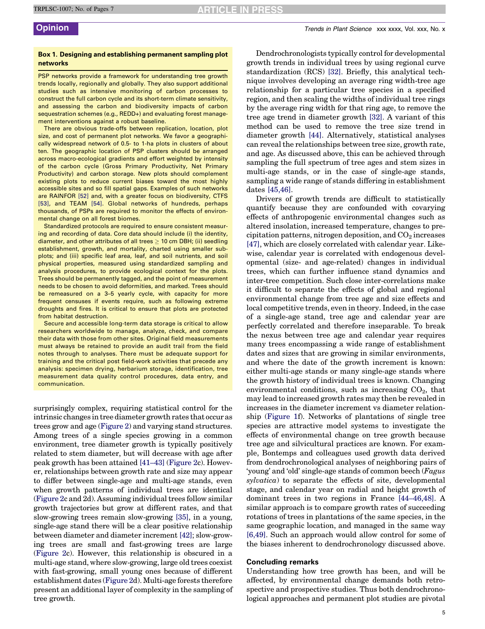# **ARTICLE IN PRESS**

### <span id="page-4-0"></span>Box 1. Designing and establishing permanent sampling plot networks

PSP networks provide a framework for understanding tree growth trends locally, regionally and globally. They also support additional studies such as intensive monitoring of carbon processes to construct the full carbon cycle and its short-term climate sensitivity, and assessing the carbon and biodiversity impacts of carbon sequestration schemes (e.g., REDD+) and evaluating forest management interventions against a robust baseline.

There are obvious trade-offs between replication, location, plot size, and cost of permanent plot networks. We favor a geographically widespread network of 0.5- to 1-ha plots in clusters of about ten. The geographic location of PSP clusters should be arranged across macro-ecological gradients and effort weighted by intensity of the carbon cycle (Gross Primary Productivity, Net Primary Productivity) and carbon storage. New plots should complement existing plots to reduce current biases toward the most highly accessible sites and so fill spatial gaps. Examples of such networks are RAINFOR [\[52\]](#page-6-0) and, with a greater focus on biodiversity, CTFS [\[53\],](#page-6-0) and TEAM [\[54\]](#page-6-0). Global networks of hundreds, perhaps thousands, of PSPs are required to monitor the effects of environmental change on all forest biomes.

Standardized protocols are required to ensure consistent measuring and recording of data. Core data should include (i) the identity, diameter, and other attributes of all trees  $\geq$  10 cm DBH; (ii) seedling establishment, growth, and mortality, charted using smaller subplots; and (iii) specific leaf area, leaf, and soil nutrients, and soil physical properties, measured using standardized sampling and analysis procedures, to provide ecological context for the plots. Trees should be permanently tagged, and the point of measurement needs to be chosen to avoid deformities, and marked. Trees should be remeasured on a 3–5 yearly cycle, with capacity for more frequent censuses if events require, such as following extreme droughts and fires. It is critical to ensure that plots are protected from habitat destruction.

Secure and accessible long-term data storage is critical to allow researchers worldwide to manage, analyze, check, and compare their data with those from other sites. Original field measurements must always be retained to provide an audit trail from the field notes through to analyses. There must be adequate support for training and the critical post field-work activities that precede any analysis: specimen drying, herbarium storage, identification, tree measurement data quality control procedures, data entry, and communication.

surprisingly complex, requiring statistical control for the intrinsic changes in tree diameter growth rates that occur as trees grow and age [\(Figure](#page-2-0) 2) and varying stand structures. Among trees of a single species growing in a common environment, tree diameter growth is typically positively related to stem diameter, but will decrease with age after peak growth has been attained [\[41–43\]](#page-6-0) [\(Figure](#page-2-0) 2c). However, relationships between growth rate and size may appear to differ between single-age and multi-age stands, even when growth patterns of individual trees are identical ([Figure](#page-2-0)  $2c$  and  $2d$ ). Assuming individual trees follow similar growth trajectories but grow at different rates, and that slow-growing trees remain slow-growing [\[35\]](#page-5-0), in a young, single-age stand there will be a clear positive relationship between diameter and diameter increment [\[42\];](#page-6-0) slow-growing trees are small and fast-growing trees are large ([Figure](#page-2-0) 2c). However, this relationship is obscured in a multi-age stand, where slow-growing, large old trees coexist with fast-growing, small young ones because of different establishment dates ([Figure](#page-2-0) 2d). Multi-age forests therefore present an additional layer of complexity in the sampling of tree growth.

Dendrochronologists typically control for developmental growth trends in individual trees by using regional curve standardization (RCS) [\[32\].](#page-5-0) Briefly, this analytical technique involves developing an average ring width-tree age relationship for a particular tree species in a specified region, and then scaling the widths of individual tree rings by the average ring width for that ring age, to remove the tree age trend in diameter growth [\[32\]](#page-5-0). A variant of this method can be used to remove the tree size trend in diameter growth [\[44\]](#page-6-0). Alternatively, statistical analyses can reveal the relationships between tree size, growth rate, and age. As discussed above, this can be achieved through sampling the full spectrum of tree ages and stem sizes in multi-age stands, or in the case of single-age stands, sampling a wide range of stands differing in establishment dates [\[45,46\].](#page-6-0)

Drivers of growth trends are difficult to statistically quantify because they are confounded with covarying effects of anthropogenic environmental changes such as altered insolation, increased temperature, changes to precipitation patterns, nitrogen deposition, and  $CO<sub>2</sub>$  increases [\[47\]](#page-6-0), which are closely correlated with calendar year. Likewise, calendar year is correlated with endogenous developmental (size- and age-related) changes in individual trees, which can further influence stand dynamics and inter-tree competition. Such close inter-correlations make it difficult to separate the effects of global and regional environmental change from tree age and size effects and local competitive trends, even in theory. Indeed, in the case of a single-age stand, tree age and calendar year are perfectly correlated and therefore inseparable. To break the nexus between tree age and calendar year requires many trees encompassing a wide range of establishment dates and sizes that are growing in similar environments, and where the date of the growth increment is known: either multi-age stands or many single-age stands where the growth history of individual trees is known. Changing environmental conditions, such as increasing  $CO<sub>2</sub>$ , that may lead to increased growth rates may then be revealed in increases in the diameter increment vs diameter relationship ([Figure](#page-1-0) 1f). Networks of plantations of single tree species are attractive model systems to investigate the effects of environmental change on tree growth because tree age and silvicultural practices are known. For example, Bontemps and colleagues used growth data derived from dendrochronological analyses of neighboring pairs of 'young' and 'old' single-age stands of common beech (Fagus sylvatica) to separate the effects of site, developmental stage, and calendar year on radial and height growth of dominant trees in two regions in France [\[44–46,48\]](#page-6-0). A similar approach is to compare growth rates of succeeding rotations of trees in plantations of the same species, in the same geographic location, and managed in the same way [\[6,49\].](#page-5-0) Such an approach would allow control for some of the biases inherent to dendrochronology discussed above.

## Concluding remarks

Understanding how tree growth has been, and will be affected, by environmental change demands both retrospective and prospective studies. Thus both dendrochronological approaches and permanent plot studies are pivotal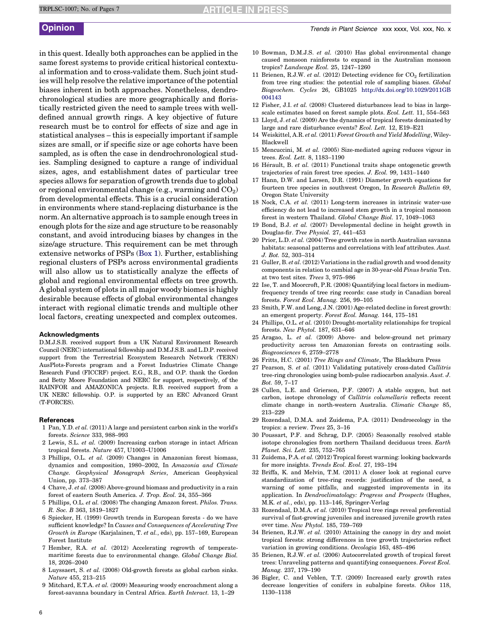<span id="page-5-0"></span>in this quest. Ideally both approaches can be applied in the same forest systems to provide critical historical contextual information and to cross-validate them. Such joint studies will help resolve the relative importance of the potential biases inherent in both approaches. Nonetheless, dendrochronological studies are more geographically and floristically restricted given the need to sample trees with welldefined annual growth rings. A key objective of future research must be to control for effects of size and age in statistical analyses – this is especially important if sample sizes are small, or if specific size or age cohorts have been sampled, as is often the case in dendrochronological studies. Sampling designed to capture a range of individual sizes, ages, and establishment dates of particular tree species allows for separation of growth trends due to global or regional environmental change (e.g., warming and  $CO<sub>2</sub>$ ) from developmental effects. This is a crucial consideration in environments where stand-replacing disturbance is the norm. An alternative approach is to sample enough trees in enough plots for the size and age structure to be reasonably constant, and avoid introducing biases by changes in the size/age structure. This requirement can be met through extensive networks of PSPs [\(Box](#page-4-0) 1). Further, establishing regional clusters of PSPs across environmental gradients will also allow us to statistically analyze the effects of global and regional environmental effects on tree growth. A global system of plots in all major woody biomes is highly desirable because effects of global environmental changes interact with regional climatic trends and multiple other local factors, creating unexpected and complex outcomes.

#### Acknowledgments

D.M.J.S.B. received support from a UK Natural Environment Research Council (NERC) international fellowship and D.M.J.S.B. and L.D.P. received support from the Terrestrial Ecosystem Research Network (TERN) AusPlots-Forests program and a Forest Industries Climate Change Research Fund (FICCRF) project. E.G., R.B., and O.P. thank the Gordon and Betty Moore Foundation and NERC for support, respectively, of the RAINFOR and AMAZONICA projects. R.B. received support from a UK NERC fellowship. O.P. is supported by an ERC Advanced Grant (T-FORCES).

#### References

- 1 Pan, Y.D. et al. (2011) A large and persistent carbon sink in the world's forests. Science 333, 988–993
- 2 Lewis, S.L. et al. (2009) Increasing carbon storage in intact African tropical forests. Nature 457, U1003–U1006
- 3 Phillips, O.L. et al. (2009) Changes in Amazonian forest biomass, dynamics and composition, 1980–2002, In Amazonia and Climate Change. Geophysical Monograph Series, American Geophysical Union, pp. 373–387
- 4 Chave, J. et al. (2008) Above-ground biomass and productivity in a rain forest of eastern South America. J. Trop. Ecol. 24, 355–366
- 5 Phillips, O.L. et al. (2008) The changing Amazon forest. Philos. Trans. R. Soc. B 363, 1819–1827
- 6 Spiecker, H. (1999) Growth trends in European forests do we have sufficient knowledge? In Causes and Consequences of Accelerating Tree Growth in Europe (Karjalainen, T. et al., eds), pp. 157–169, European Forest Institute
- 7 Hember, R.A. et al. (2012) Accelerating regrowth of temperatemaritime forests due to environmental change. Global Change Biol. 18, 2026–2040
- 8 Luyssaert, S. et al. (2008) Old-growth forests as global carbon sinks. Nature 455, 213–215
- 9 Mitchard, E.T.A. et al. (2009) Measuring woody encroachment along a forest-savanna boundary in Central Africa. Earth Interact. 13, 1–29
- 10 Bowman, D.M.J.S. et al. (2010) Has global environmental change caused monsoon rainforests to expand in the Australian monsoon tropics? Landscape Ecol. 25, 1247–1260
- 11 Brienen, R.J.W. et al. (2012) Detecting evidence for  $CO_2$  fertilization from tree ring studies: the potential role of sampling biases. Global Biogeochem. Cycles 26, GB1025 [http://dx.doi.org/10.1029/2011GB](http://dx.doi.org/10.1029/2011GB 004143) [004143](http://dx.doi.org/10.1029/2011GB 004143)
- 12 Fisher, J.I. et al. (2008) Clustered disturbances lead to bias in largescale estimates based on forest sample plots. Ecol. Lett. 11, 554–563
- 13 Lloyd, J. et al. (2009) Are the dynamics of tropical forests dominated by large and rare disturbance events? Ecol. Lett. 12, E19–E21
- 14 Weiskittel, A.R. et al. (2011) Forest Growth and Yield Modelling, Wiley-Blackwell
- 15 Mencuccini, M. et al. (2005) Size-mediated ageing reduces vigour in trees. Ecol. Lett. 8, 1183–1190
- 16 Hérault, B. et al. (2011) Functional traits shape ontogenetic growth trajectories of rain forest tree species. J. Ecol. 99, 1431–1440
- 17 Hann, D.W. and Larsen, D.R. (1991) Diameter growth equations for fourteen tree species in southwest Oregon, In Research Bulletin 69, Oregon State University
- 18 Nock, C.A. et al. (2011) Long-term increases in intrinsic water-use efficiency do not lead to increased stem growth in a tropical monsoon forest in western Thailand. Global Change Biol. 17, 1049–1063
- 19 Bond, B.J. et al. (2007) Developmental decline in height growth in Douglas-fir. Tree Physiol. 27, 441–453
- 20 Prior, L.D. et al. (2004) Tree growth rates in north Australian savanna habitats: seasonal patterns and correlations with leaf attributes. Aust. J. Bot. 52, 303–314
- 21 Guller, B. et al.  $(2012)$  Variations in the radial growth and wood density components in relation to cambial age in 30-year-old Pinus brutia Ten. at two test sites. Trees 3, 975–986
- 22 Ise, T. and Moorcroft, P.R. (2008) Quantifying local factors in mediumfrequency trends of tree ring records: case study in Canadian boreal forests. Forest Ecol. Manag. 256, 99–105
- 23 Smith, F.W. and Long, J.N. (2001) Age-related decline in forest growth: an emergent property. Forest Ecol. Manag. 144, 175–181
- 24 Phillips, O.L. et al. (2010) Drought-mortality relationships for tropical forests. New Phytol. 187, 631–646
- 25 Aragao, L. et al. (2009) Above- and below-ground net primary productivity across ten Amazonian forests on contrasting soils. Biogeosciences 6, 2759–2778
- 26 Fritts, H.C. (2001) Tree Rings and Climate, The Blackburn Press
- 27 Pearson, S. et al. (2011) Validating putatively cross-dated Callitris tree-ring chronologies using bomb-pulse radiocarbon analysis. Aust. J. Bot. 59, 7–17
- 28 Cullen, L.E. and Grierson, P.F. (2007) A stable oxygen, but not carbon, isotope chronology of Callitris columellaris reflects recent climate change in north-western Australia. Climatic Change 85, 213–229
- 29 Rozendaal, D.M.A. and Zuidema, P.A. (2011) Dendroecology in the tropics: a review. Trees 25, 3–16
- 30 Poussart, P.F. and Schrag, D.P. (2005) Seasonally resolved stable isotope chronologies from northern Thailand deciduous trees. Earth Planet. Sci. Lett. 235, 752–765
- 31 Zuidema, P.A. et al. (2012) Tropical forest warming: looking backwards for more insights. Trends Ecol. Evol. 27, 193–194
- 32 Briffa, K. and Melvin, T.M. (2011) A closer look at regional curve standardization of tree-ring records: justification of the need, a warning of some pitfalls, and suggested improvements in its application. In Dendroclimatology: Progress and Prospects (Hughes, M.K. et al., eds), pp. 113–146, Springer-Verlag
- 33 Rozendaal, D.M.A. et al. (2010) Tropical tree rings reveal preferential survival of fast-growing juveniles and increased juvenile growth rates over time. New Phytol. 185, 759–769
- 34 Brienen, R.J.W. et al. (2010) Attaining the canopy in dry and moist tropical forests: strong differences in tree growth trajectories reflect variation in growing conditions. Oecologia 163, 485–496
- 35 Brienen, R.J.W. et al. (2006) Autocorrelated growth of tropical forest trees: Unraveling patterns and quantifying consequences. Forest Ecol. Manag. 237, 179–190
- 36 Bigler, C. and Veblen, T.T. (2009) Increased early growth rates decrease longevities of conifers in subalpine forests. Oikos 118, 1130–1138